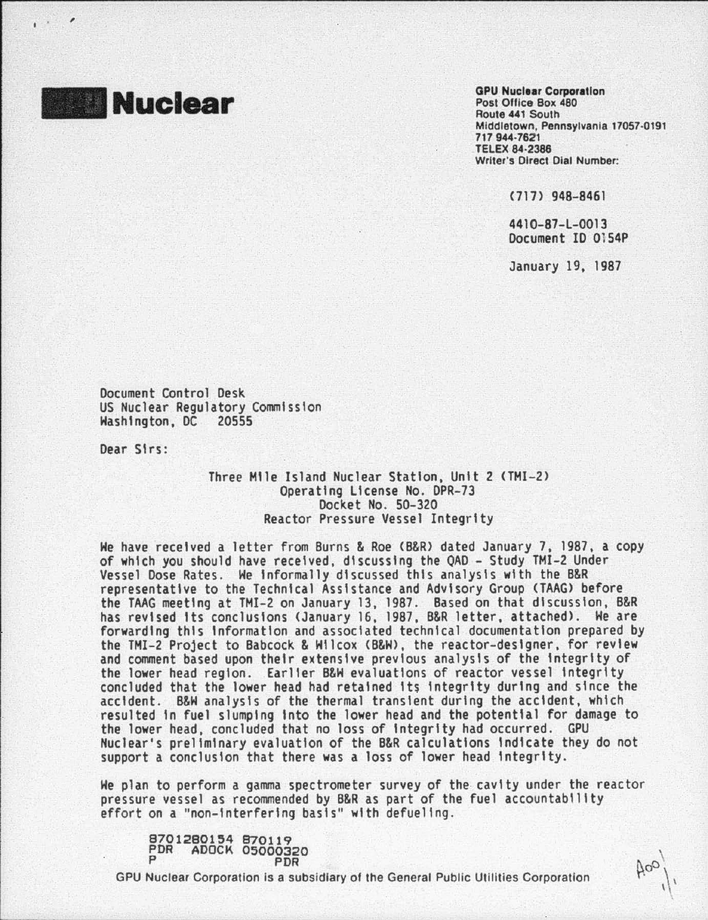

 $\mathbf{I}$ 

,

**GPU Nuclear Corporation** Post Office Box 480 Route 441 South Middletown, Pennsylvania 17057·0191 717 944-7621 **TELEX 84-2386** Writer's Direct Dial Number:

<717) 948-8461

4410-87-L-0013 Document ID Oi54P

January 19, 1987

 $\log$ 

Document Control Desk US Nuclear Regulatory Commission Hashlngton, DC 20555

Dear Sirs:

## Three Mile Island Nuclear Station, Unit 2 <THI-2> Operating License No. DPR-73 Docket No. 50-320 Reactor Pressure Vessel Integrity

He have received a letter from Burns & Roe <B&R> dated January 7, 1987, a copy of which you should have received, discussing the QAD- Study TMI-2 Under Vessel Dose Rates. He Informally discussed this analysis with the B&R representative to the Technical Assistance and Advisory Group (TAAG) before the TAAG meeting at TMI-2 on January 13, 1987 . Based on that discussion, B&R has revised its conclusions (January 16, 1987, B&R letter, attached). We are<br>forwarding this information and associated technical documentation prepared by the TMI-2 Project to Babcock & Wilcox (B&W), the reactor-designer, for review and comment based upon their extensive previous analysis of the Integrity of concluded that the lower head had retained its integrity during and since the accident. B&W analysis of the thermal transient during the accident, which resulted In fuel slumping Into the lower head and the potential for damage to the lower head, concluded that no loss of Integrity had occurred. GPU Nuclear's preliminary evaluation of the B&R calculations Indicate they do not support a conclusion that there was a loss of lower head Integrity.

He plan to perform a gamma spectrometer survey of the. cavity under the reactor pressure vessel as recommended by B&R as part of the fuel accountability effort on a "non-Interfering basis" with defuellng .

8701280154 870119 PDR ADOCK 05000320 P PDR

'---------------··--------·---.

GPU Nuclear Corporation Is a subsidiary of the General Public Utilities Corporation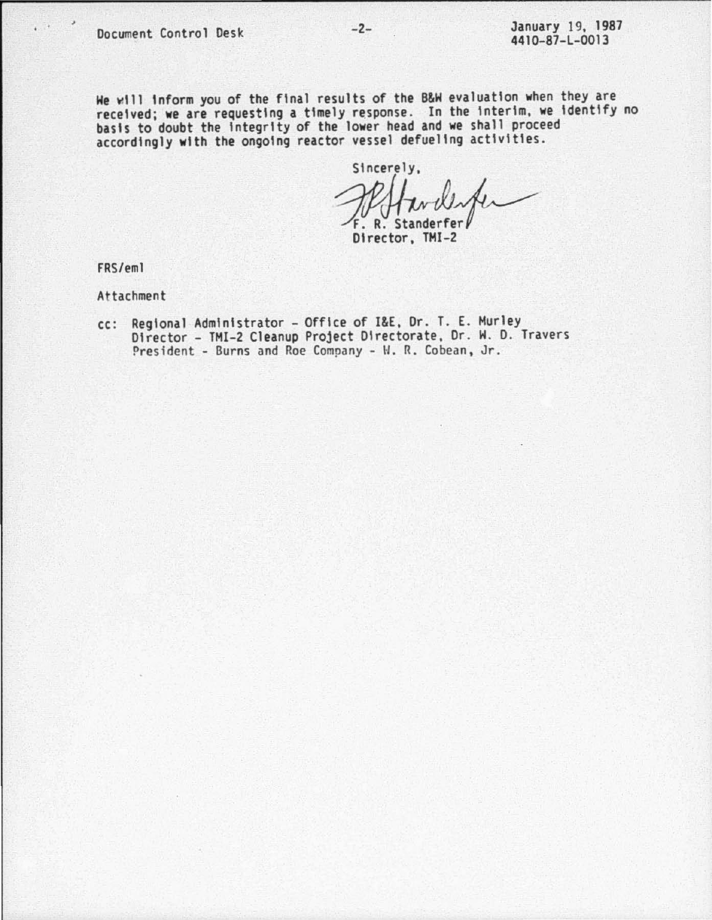He vlll Inform you of the final results of the 8&H evaluation ~hen they are received; we are requesting a timely response. In the interim, we identify no basis to doubt the integrity of the lower head and we shall proceed accordingly with the ongoing reactor vessel defueling activities.

Sincerely,  $F. R.$  Standerfer<br>Director, TMI-2

FRS/eml

At tachment

cc : Regional Administrator- Office of I&E, Dr. T. E. Hurley Director- TMI-2 Cleanup Project Directorate , Or. H. D. Travers President - Burns and Roe Company - W. R. Cobean, Jr.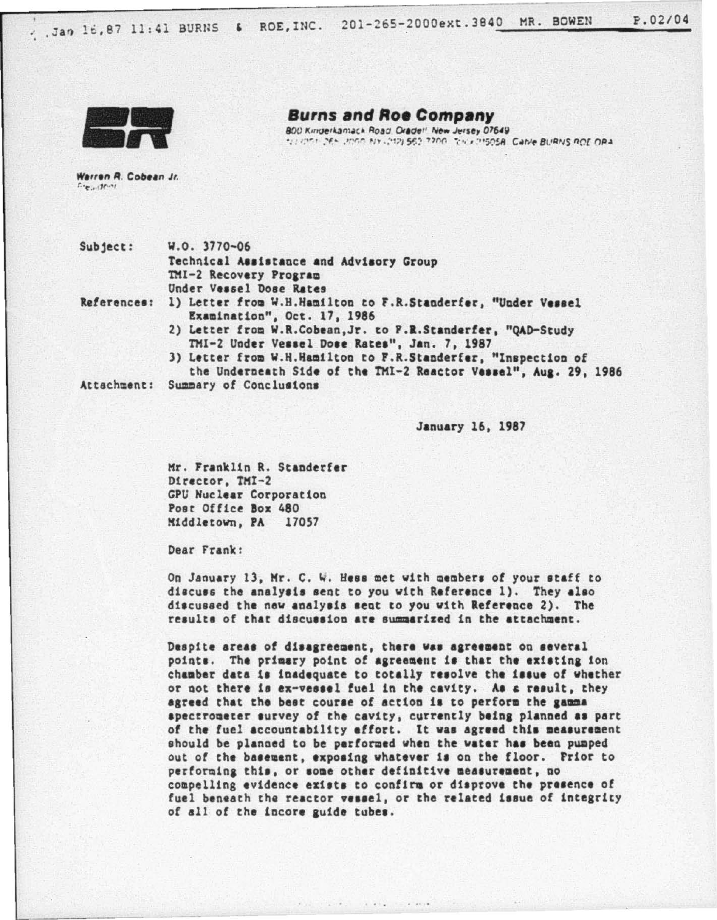

**Burns and Roe Company** 800 Kinderkamack Road, Oradell New Jersey 07649 SERVICE DES INSOLAIS (10) 563 7200. THE 215058. Cable BURNS ROE OPA

Warren R. Cobean Jr.  $L_{2}, 3001$ 

Subject: W.O. 3770-06

Technical Assistance and Advisory Group TMI-2 Recovery Program Under Vessel Dose Rates

References:

1) Letter from W.H.Hamilton to F.R.Standerfer, "Under Vessel Examination", Oct. 17, 1986

2) Letter from W.R.Cobean, Jr. to P.R.Standerfer, "QAD-Study TMI-2 Under Vessel Dose Rates", Jan. 7, 1987

3) Letter from W.H.Hamilton to F.R.Standerfer, "Inspection of the Underneath Side of the TMI-2 Reactor Vessel", Aug. 29, 1986

Attachment: Summary of Conclusions

January 16, 1987

Mr. Franklin R. Standerfer Director, TMI-2 GPU Nuclear Corporation Post Office Box 480 Middletown, PA 17057

Dear Frank:

On January 13, Mr. C. W. Hess met with members of your staff to discuss the analysis sent to you with Reference 1). They also discussed the new analysis sent to you with Reference 2). The results of that discussion are summarized in the attachment.

Despite areas of disagreement, there was agreement on several points. The primary point of agreement is that the existing ion chamber data is inadequate to totally resolve the issue of whether or not there is ex-vessel fuel in the cavity. As a result, they agreed that the best course of action is to perform the gamma spectroueter survey of the cavity, currently being planned as part of the fuel accountability effort. It was agreed this measurement should be planned to be performed when the water has been pumped out of the basement, exposing whatever is on the floor. Prior to performing this, or some other definitive measurement, no compelling evidence exists to confirm or disprove the presence of fuel beneath the reactor vessel, or the related issue of integrity of all of the incore guide tubes.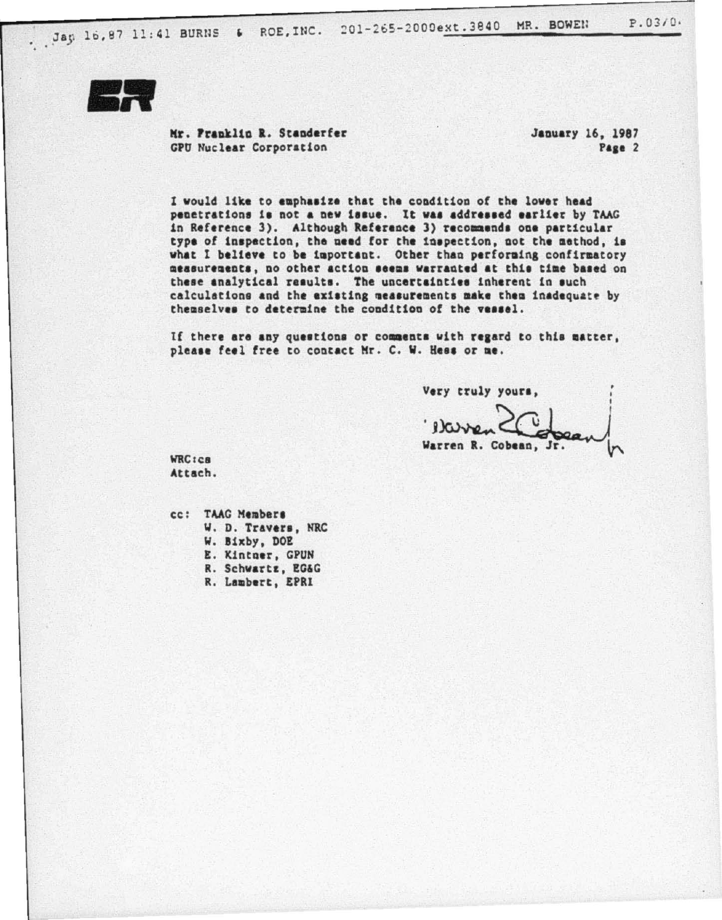

Mr. Pranklin R. Standerfer **GPU Nuclear Corporation** 

January 16, 1987 Page 2

I would like to emphasize that the condition of the lower head penetrations is not a new issue. It was addressed earlier by TAAG in Reference 3). Although Reference 3) recommends one particular type of inspection, the need for the inspection, not the method, is what I believe to be important. Other than performing confirmatory measurements, no other action seems warranted at this time based on these analytical results. The uncertainties inherent in such calculations and the existing measurements make them inadequate by themselves to determine the condition of the vessel.

If there are any questions or comments with regard to this matter, please feel free to contact Mr. C. W. Hess or me.

Very truly yours,

Warren R. Cobean, Jr.

**WRC**<sub>tc</sub>a Attach.

cc: TAAG Members W. D. Travers, NRC W. Bixby, DOE E. Kintner, GPUN R. Schwartz, EG&G R. Lambert, EPRI